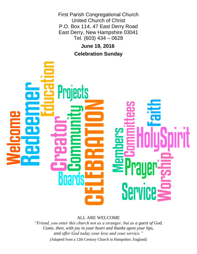First Parish Congregational Church United Church of Christ P.O. Box 114, 47 East Derry Road East Derry, New Hampshire 03041 Tel. (603) 434 – 0628

> **June 19, 2016 Celebration Sunday**



ALL ARE WELCOME

*"Friend, you enter this church not as a stranger, but as a guest of God. Come, then, with joy in your heart and thanks upon your lips, and offer God today your love and your service."*

(Adapted from a 12th Century Church in Hampshire, England)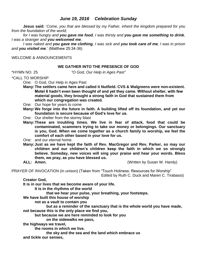# *June 19, 2016 Celebration Sunday*

**Jesus said:** '*Come, you that are blessed by my Father, inherit the kingdom prepared for you from the foundation of the world;* 

*for I was hungry and you gave me food, I was thirsty and you gave me something to drink, I was a stranger and you welcomed me,* 

*I was naked and you gave me clothing, I was sick and you took care of me, I was in prison and you visited me*.' (Matthew 25:34-36)

WELCOME & ANNOUNCEMENTS

### **WE GATHER INTO THE PRESENCE OF GOD**

\*HYMN NO. 25 *"O God, Our Help in Ages Past"*

\*CALL TO WORSHIP

One: O God, Our Help in Ages Past

**Many:The settlers came here and called it Nutfield. CVS & Walgreens were non-existent. Motel 6 hadn't even been thought of and yet they came. Without shelter, with few material goods, they brought a strong faith in God that sustained them from which our congregation was created.**

One: Our hope for years to come

**Many:We forge into the future in faith. A building lifted off its foundation, and yet our foundation is secure because of God's love for us.**

One: Our shelter from the stormy blast

**Many:These are troubling times. We live in fear of attack, food that could be contaminated, scammers trying to take our money or belongings. Our sanctuary is you, God. When we come together as a church family to worship, we feel the comfort of each other based in your love for us.**

One: and our eternal home.

**Many:Just as we have kept the faith of Rev. MacGregor and Rev. Parker, so may our children and our children's children keep the faith in which we so strongly believe. Someday, new voices will sing your praise and hear your words. Bless them, we pray, as you have blessed us.**

**ALL: Amen.** (Written by Susan W. Handy)

PRAYER OF INVOCATION (in unison) (Taken from "Touch Holiness: Resources for Worship"

Edited by Ruth C. Duck and Maren C. Tirabassi)

**Creator God,** 

**It is in our lives that we become aware of your life.**

**It is in the rhythms of the world**

**that we hear your pulse, your breathing, your footsteps.**

**We have built this house of worship**

**not as a vault to contain you**

**but as a reminder of the sanctuary that is the whole world you have made, not because this is the only place we find you,**

**but because we are here reminded to look for you**

**on the sidewalks we pass,**

**the highways we travel,**

**the rooms in which we live.**

**the sky and the sea and the land which embrace us and tickle our senses,**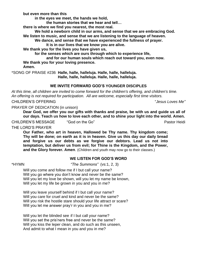**but even more than this**

**in the eyes we meet, the hands we hold,** 

**the human stories that we hear and tell…**

**there is where we find you nearest, the most real.**

**We hold a newborn child in our arms, and sense that we are embracing God. We listen to music, and sense that we are listening to the language of heaven.**

**We dance, and sense that we have experienced the fullness of prayer.**

**It is in our lives that we know you are alive.**

**We thank you for the lives you have given us,**

**for the senses which are ours through which to experience life,**

**and for our human souls which reach out toward you, even now.**

**We thank you for your loving presence.** 

**Amen.**

\*SONG OF PRAISE #236 **Halle, halle, halleluja. Halle, halle, halleluja.**

**Halle, halle, halleluja. Halle, halle, halleluja.**

# **WE INVITE FORWARD GOD'S YOUNGER DISCIPLES**

*At this time, all children are invited to come forward for the children's offering, and children's time. An offering is not required for participation. All are welcome, especially first time visitors.*

CHILDREN'S OFFERING "*Jesus Loves Me"*

PRAYER OF DEDICATION (in unison)

**Dear God, we offer you our gifts with thanks and praise, be with us and guide us all of our days. Teach us how to love each other, and to shine your light into the world. Amen.**

CHILDREN'S MESSAGE "God on the Go" **Pastor Heidi** Pastor Heidi

THE LORD'S PRAYER

**Our Father, who art in heaven, Hallowed be Thy name. Thy kingdom come; Thy will be done; on earth as it is in heaven. Give us this day our daily bread and forgive us our debts as we forgive our debtors. Lead us not into temptation, but deliver us from evil; for Thine is the Kingdom, and the Power, and the Glory forever. Amen**. (Children and youth may now go to their classes.)

# **WE LISTEN FOR GOD'S WORD**

\*HYMN *"The Summons"* (vs:1, 2, 3)

Will you come and follow me if I but call your name? Will you go where you don't know and never be the same? Will you let my love be shown, will you let my name be known, Will you let my life be grown in you and you in me?

Will you leave yourself behind if I but call your name? Will you care for cruel and kind and never be the same? Will you risk the hostile stare should your life attract or scare? Will you let me answer pray'r in you and you in me?

Will you let the blinded see if I but call your name? Will you set the pris'ners free and never be the same? Will you kiss the leper clean, and do such as this unseen, And admit to what I mean in you and you in me?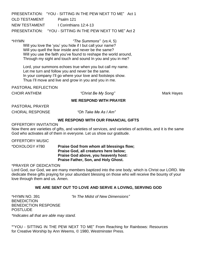PRESENTATION: "YOU - SITTING IN THE PEW NEXT TO ME" Act 1 OLD TESTAMENT Psalm 121 NEW TESTAMENT | Corinthians 12:4-13 PRESENTATION: "YOU - SITTING IN THE PEW NEXT TO ME" Act 2

\*HYMN *"The Summons"* (vs:4, 5)

Will you love the 'you' you hide if I but call your name? Will you quell the fear inside and never be the same? Will you use the faith you've found to reshape the world around, Through my sight and touch and sound In you and you in me?

Lord, your summons echoes true when you but call my name. Let me turn and follow you and never be the same. In your company I'll go where your love and footsteps show. Thus I'll move and live and grow in you and you in me.

PASTORAL REFLECTION

CHOIR ANTHEM *"Christ Be My Song"* Mark Hayes

### **WE RESPOND WITH PRAYER**

PASTORAL PRAYER

CHORAL RESPONSE *"Oh Take Me As I Am"* 

# **WE RESPOND WITH OUR FINANCIAL GIFTS**

OFFERTORY INVITATION

Now there are varieties of gifts, and varieties of services, and varieties of activities, and it is the same God who activates all of them in everyone. Let us show our gratitude.

OFFERTORY MUSIC

\*DOXOLOGY #780 **Praise God from whom all blessings flow; Praise God, all creatures here below; Praise God above, you heavenly host: Praise Father, Son, and Holy Ghost.**

\*PRAYER OF DEDICATION

Lord God, our God, we are many members baptized into the one body, which is Christ our LORD. We dedicate these gifts praying for your abundant blessing on those who will receive the bounty of your love through them and us. Amen.

# **WE ARE SENT OUT TO LOVE AND SERVE A LOVING, SERVING GOD**

**BENEDICTION** BENEDICTION RESPONSE **POSTLUDE** 

\*HYMN NO. 391 *"In The Midst of New Dimensions"*

*\*Indicates all that are able may stand.*

\*"YOU - SITTING IN THE PEW NEXT TO ME" From Reaching for Rainbows: Resources for Creative Worship by Ann Weems, © 1980, Westminster Press.